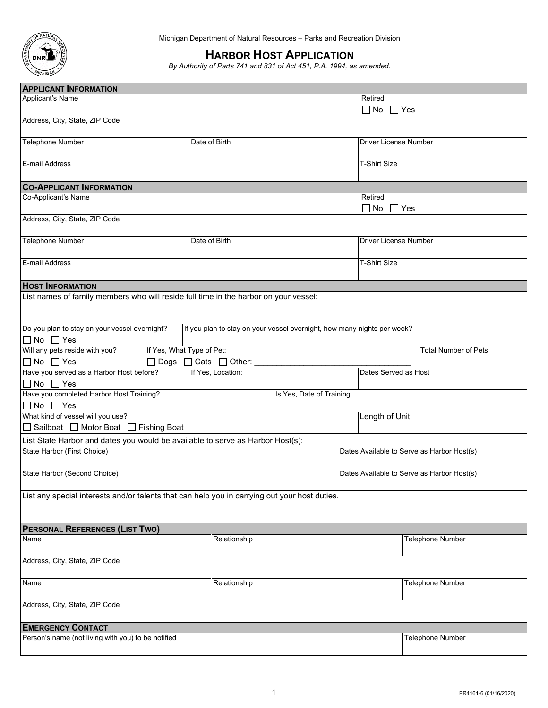

Michigan Department of Natural Resources – Parks and Recreation Division

# **HARBOR HOST APPLICATION**

*By Authority of Parts 741 and 831 of Act 451, P.A. 1994, as amended.* 

| <b>APPLICANT INFORMATION</b>                                                                  |                                                                         |                          |                                            |                                            |  |  |
|-----------------------------------------------------------------------------------------------|-------------------------------------------------------------------------|--------------------------|--------------------------------------------|--------------------------------------------|--|--|
| Applicant's Name<br>Retired                                                                   |                                                                         |                          |                                            |                                            |  |  |
|                                                                                               |                                                                         |                          | $\Box$ No $\Box$ Yes                       |                                            |  |  |
| Address, City, State, ZIP Code                                                                |                                                                         |                          |                                            |                                            |  |  |
| <b>Telephone Number</b>                                                                       | Date of Birth                                                           |                          |                                            | Driver License Number                      |  |  |
|                                                                                               |                                                                         |                          |                                            |                                            |  |  |
| E-mail Address                                                                                |                                                                         |                          | <b>T-Shirt Size</b>                        |                                            |  |  |
|                                                                                               |                                                                         |                          |                                            |                                            |  |  |
| <b>CO-APPLICANT INFORMATION</b>                                                               |                                                                         |                          |                                            |                                            |  |  |
| Co-Applicant's Name                                                                           |                                                                         |                          | Retired                                    | $\Box$ No $\Box$ Yes                       |  |  |
| Address, City, State, ZIP Code                                                                |                                                                         |                          |                                            |                                            |  |  |
|                                                                                               |                                                                         |                          |                                            |                                            |  |  |
| <b>Telephone Number</b>                                                                       | Date of Birth                                                           |                          |                                            | Driver License Number                      |  |  |
|                                                                                               |                                                                         |                          |                                            |                                            |  |  |
| E-mail Address                                                                                |                                                                         |                          |                                            | <b>T-Shirt Size</b>                        |  |  |
|                                                                                               |                                                                         |                          |                                            |                                            |  |  |
| <b>HOST INFORMATION</b>                                                                       |                                                                         |                          |                                            |                                            |  |  |
| List names of family members who will reside full time in the harbor on your vessel:          |                                                                         |                          |                                            |                                            |  |  |
|                                                                                               |                                                                         |                          |                                            |                                            |  |  |
|                                                                                               |                                                                         |                          |                                            |                                            |  |  |
| Do you plan to stay on your vessel overnight?                                                 | If you plan to stay on your vessel overnight, how many nights per week? |                          |                                            |                                            |  |  |
| $\Box$ No $\Box$ Yes                                                                          |                                                                         |                          |                                            |                                            |  |  |
| Will any pets reside with you?<br>If Yes, What Type of Pet:                                   |                                                                         |                          |                                            | <b>Total Number of Pets</b>                |  |  |
| $\Box$ No $\Box$ Yes                                                                          | Dogs $\Box$ Cats $\Box$ Other:                                          |                          |                                            |                                            |  |  |
| Have you served as a Harbor Host before?                                                      | If Yes, Location:                                                       |                          | Dates Served as Host                       |                                            |  |  |
| $\Box$ No $\Box$ Yes                                                                          |                                                                         |                          |                                            |                                            |  |  |
| Have you completed Harbor Host Training?                                                      |                                                                         | Is Yes, Date of Training |                                            |                                            |  |  |
| $\Box$ No $\Box$ Yes                                                                          |                                                                         |                          |                                            |                                            |  |  |
| What kind of vessel will you use?                                                             |                                                                         |                          | Length of Unit                             |                                            |  |  |
| □ Sailboat □ Motor Boat □ Fishing Boat                                                        |                                                                         |                          |                                            |                                            |  |  |
| List State Harbor and dates you would be available to serve as Harbor Host(s):                |                                                                         |                          |                                            |                                            |  |  |
| State Harbor (First Choice)                                                                   |                                                                         |                          |                                            | Dates Available to Serve as Harbor Host(s) |  |  |
|                                                                                               |                                                                         |                          |                                            |                                            |  |  |
| State Harbor (Second Choice)                                                                  |                                                                         |                          | Dates Available to Serve as Harbor Host(s) |                                            |  |  |
|                                                                                               |                                                                         |                          |                                            |                                            |  |  |
| List any special interests and/or talents that can help you in carrying out your host duties. |                                                                         |                          |                                            |                                            |  |  |
|                                                                                               |                                                                         |                          |                                            |                                            |  |  |
|                                                                                               |                                                                         |                          |                                            |                                            |  |  |
| <b>PERSONAL REFERENCES (LIST TWO)</b>                                                         |                                                                         |                          |                                            |                                            |  |  |
| Name                                                                                          | Relationship                                                            |                          |                                            | <b>Telephone Number</b>                    |  |  |
| Address, City, State, ZIP Code                                                                |                                                                         |                          |                                            |                                            |  |  |
|                                                                                               |                                                                         |                          |                                            |                                            |  |  |
| Name                                                                                          | Relationship                                                            |                          |                                            | Telephone Number                           |  |  |
|                                                                                               |                                                                         |                          |                                            |                                            |  |  |
| Address, City, State, ZIP Code                                                                |                                                                         |                          |                                            |                                            |  |  |
|                                                                                               |                                                                         |                          |                                            |                                            |  |  |
| <b>EMERGENCY CONTACT</b>                                                                      |                                                                         |                          |                                            |                                            |  |  |
| Person's name (not living with you) to be notified                                            |                                                                         |                          |                                            | Telephone Number                           |  |  |
|                                                                                               |                                                                         |                          |                                            |                                            |  |  |